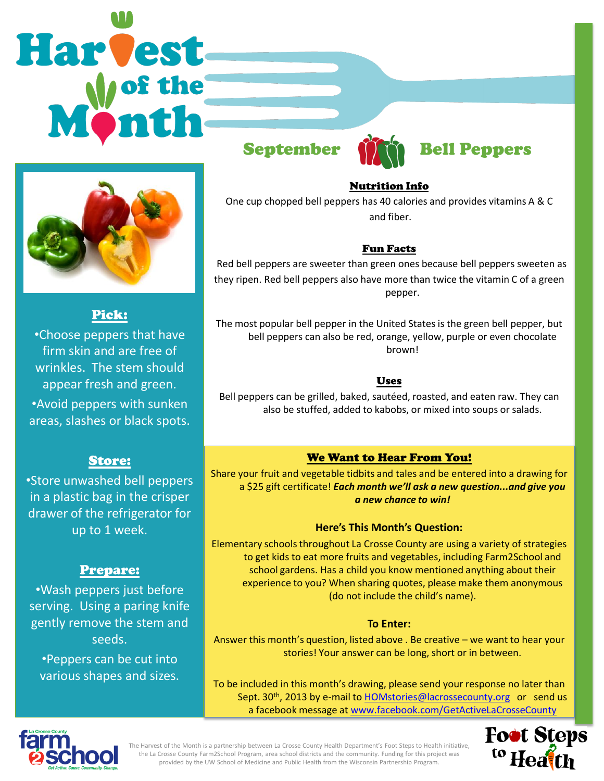# Harvest



#### Pick:

•Choose peppers that have firm skin and are free of wrinkles. The stem should appear fresh and green. •Avoid peppers with sunken areas, slashes or black spots.

#### Store:

•Store unwashed bell peppers in a plastic bag in the crisper drawer of the refrigerator for up to 1 week.

# Prepare:

•Wash peppers just before serving. Using a paring knife gently remove the stem and seeds.

•Peppers can be cut into various shapes and sizes.



#### Nutrition Info

One cup chopped bell peppers has 40 calories and provides vitamins A & C and fiber.

#### Fun Facts

 Red bell peppers are sweeter than green ones because bell peppers sweeten as they ripen. Red bell peppers also have more than twice the vitamin C of a green pepper.

The most popular bell pepper in the United States is the green bell pepper, but bell peppers can also be red, orange, yellow, purple or even chocolate brown!

#### Uses

Bell peppers can be grilled, baked, sautéed, roasted, and eaten raw. They can also be stuffed, added to kabobs, or mixed into soups or salads.

# We Want to Hear From You!

Share your fruit and vegetable tidbits and tales and be entered into a drawing for a \$25 gift certificate! *Each month we'll ask a new question...and give you a new chance to win!* 

#### **Here's This Month's Question:**

Elementary schools throughout La Crosse County are using a variety of strategies to get kids to eat more fruits and vegetables, including Farm2School and school gardens. Has a child you know mentioned anything about their experience to you? When sharing quotes, please make them anonymous (do not include the child's name).

#### **To Enter:**

Answer this month's question, listed above . Be creative – we want to hear your stories! Your answer can be long, short or in between.

To be included in this month's drawing, please send your response no later than Sept. 30<sup>th</sup>, 2013 by e-mail to **[HOMstories@lacrossecounty.org](mailto:HOMstories@lacrossecounty.org)** or send us a facebook message at [www.facebook.com/GetActiveLaCrosseCounty](http://www.facebook.com/GetActiveLaCrosseCounty)



The Harvest of the Month is a partnership between La Crosse County Health Department's Foot Steps to Health initiative, the La Crosse County Farm2School Program, area school districts and the community. Funding for this project was provided by the UW School of Medicine and Public Health from the Wisconsin Partnership Program.